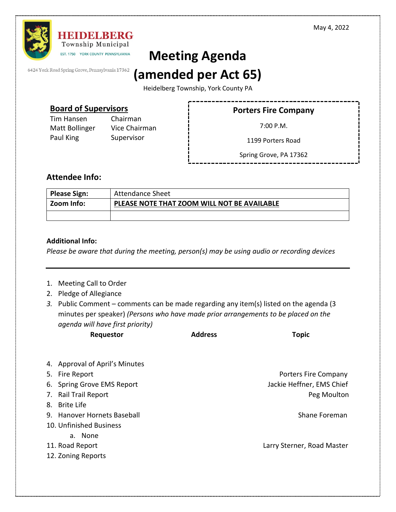

# **Meeting Agenda**

6424 York Road Spring Grove, Pennsylvania 17362

## **(amended per Act 65)**

Heidelberg Township, York County PA

## **Board of Supervisors**

Tim Hansen Chairman Matt Bollinger Vice Chairman Paul King Supervisor

## **Porters Fire Company**

7:00 P.M.

1199 Porters Road

Spring Grove, PA 17362

## **Attendee Info:**

| <b>Please Sign:</b> | Attendance Sheet                            |
|---------------------|---------------------------------------------|
| Zoom Info:          | PLEASE NOTE THAT ZOOM WILL NOT BE AVAILABLE |
|                     |                                             |

### **Additional Info:**

*Please be aware that during the meeting, person(s) may be using audio or recording devices*

- 1. Meeting Call to Order
- 2. Pledge of Allegiance
- *3.* Public Comment comments can be made regarding any item(s) listed on the agenda (3 minutes per speaker) *(Persons who have made prior arrangements to be placed on the agenda will have first priority)*

| aqenaa wiji nave first priority)<br>Requestor | <b>Address</b> | <b>Topic</b>               |
|-----------------------------------------------|----------------|----------------------------|
|                                               |                |                            |
| 4. Approval of April's Minutes                |                |                            |
| 5. Fire Report                                |                | Porters Fire Company       |
| 6. Spring Grove EMS Report                    |                | Jackie Heffner, EMS Chief  |
| 7. Rail Trail Report                          |                | Peg Moulton                |
| 8. Brite Life                                 |                |                            |
| 9. Hanover Hornets Baseball                   |                | Shane Foreman              |
| 10. Unfinished Business                       |                |                            |
| a. None                                       |                |                            |
| 11. Road Report                               |                | Larry Sterner, Road Master |
| 12. Zoning Reports                            |                |                            |